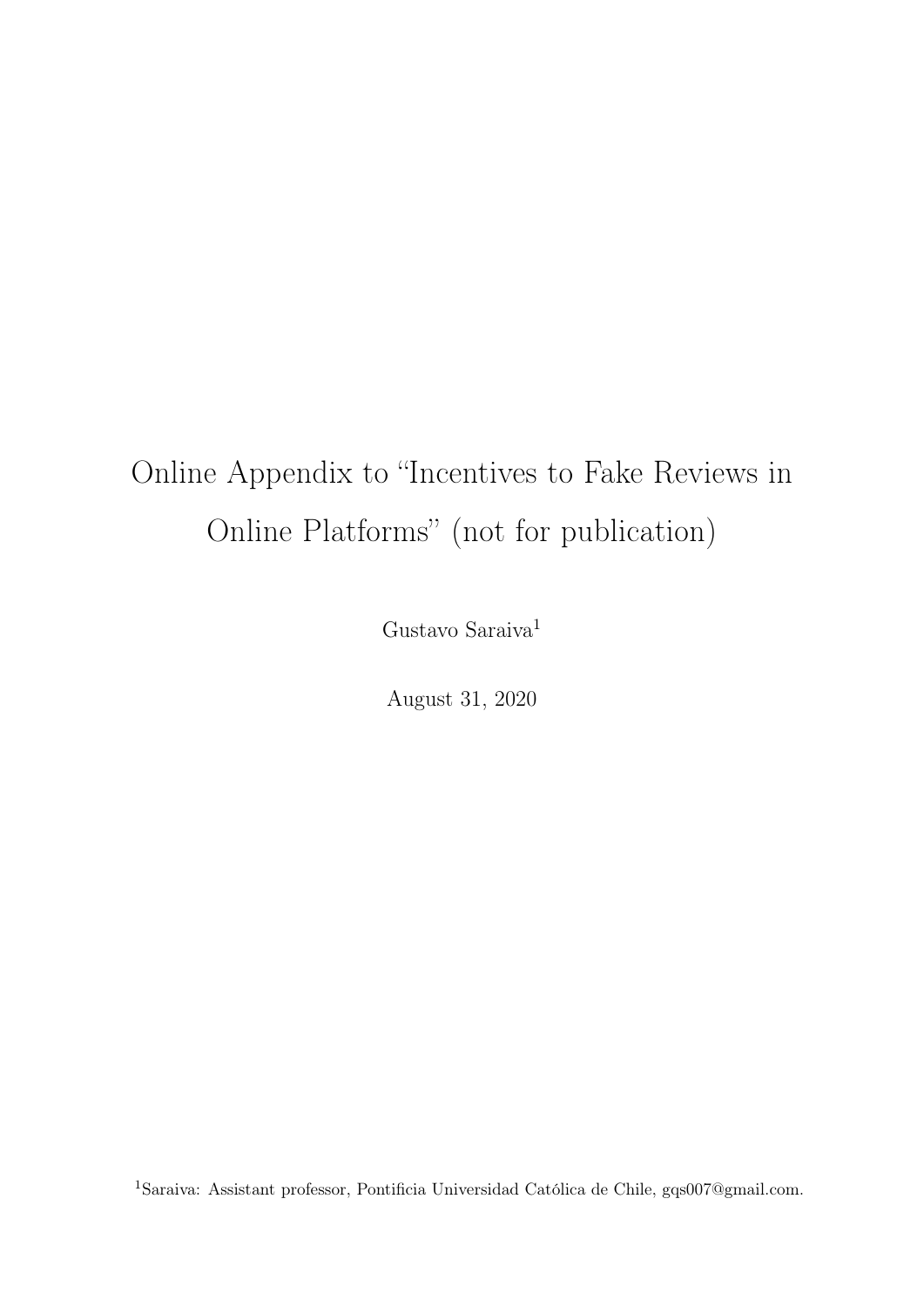# <span id="page-0-0"></span>Online Appendix to "Incentives to Fake Reviews in Online Platforms" (not for publication)

Gustavo $\mbox{Saraiva}^1$ 

August 31, 2020

 $^1$ Saraiva: Assistant professor, Pontificia Universidad Católica de Chile, gqs007@gmail.com.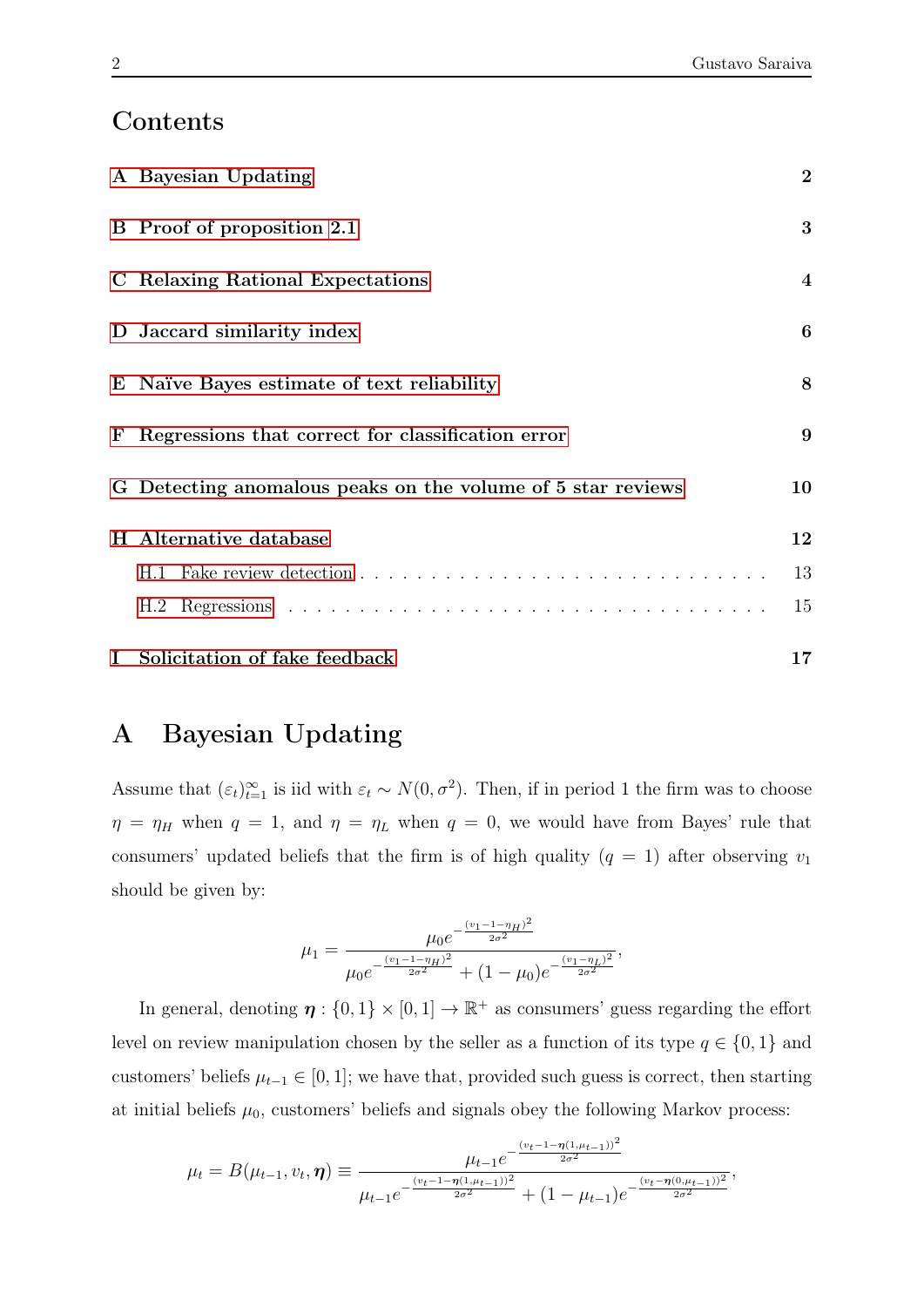,

## Contents

|             | A Bayesian Updating                                         | $\overline{2}$          |
|-------------|-------------------------------------------------------------|-------------------------|
|             | B Proof of proposition 2.1                                  | 3                       |
|             | C Relaxing Rational Expectations                            | $\overline{\mathbf{4}}$ |
|             | D Jaccard similarity index                                  | $\boldsymbol{6}$        |
|             | E Naïve Bayes estimate of text reliability                  | 8                       |
|             | F Regressions that correct for classification error         | 9                       |
|             | G Detecting anomalous peaks on the volume of 5 star reviews | 10                      |
|             | H Alternative database                                      | 12                      |
|             |                                                             | 13                      |
|             |                                                             | 15                      |
| $\mathbf I$ | Solicitation of fake feedback                               | 17                      |

## <span id="page-1-0"></span>A Bayesian Updating

Assume that  $(\varepsilon_t)_{t=1}^{\infty}$  is iid with  $\varepsilon_t \sim N(0, \sigma^2)$ . Then, if in period 1 the firm was to choose  $\eta = \eta_H$  when  $q = 1$ , and  $\eta = \eta_L$  when  $q = 0$ , we would have from Bayes' rule that consumers' updated beliefs that the firm is of high quality ( $q = 1$ ) after observing  $v_1$ should be given by:

$$
\mu_1 = \frac{\mu_0 e^{-\frac{(v_1 - 1 - \eta_H)^2}{2\sigma^2}}}{\mu_0 e^{-\frac{(v_1 - 1 - \eta_H)^2}{2\sigma^2}} + (1 - \mu_0)e^{-\frac{(v_1 - \eta_L)^2}{2\sigma^2}}},
$$

In general, denoting  $\eta: \{0,1\} \times [0,1] \to \mathbb{R}^+$  as consumers' guess regarding the effort level on review manipulation chosen by the seller as a function of its type  $q \in \{0, 1\}$  and customers' beliefs  $\mu_{t-1} \in [0, 1]$ ; we have that, provided such guess is correct, then starting at initial beliefs  $\mu_0$ , customers' beliefs and signals obey the following Markov process:

$$
\mu_t = B(\mu_{t-1}, v_t, \boldsymbol{\eta}) \equiv \frac{\mu_{t-1} e^{-\frac{(v_t - 1 - \boldsymbol{\eta}(1, \mu_{t-1}))^2}{2\sigma^2}}}{\mu_{t-1} e^{-\frac{(v_t - 1 - \boldsymbol{\eta}(1, \mu_{t-1}))^2}{2\sigma^2}} + (1 - \mu_{t-1}) e^{-\frac{(v_t - \boldsymbol{\eta}(0, \mu_{t-1}))^2}{2\sigma^2}}}
$$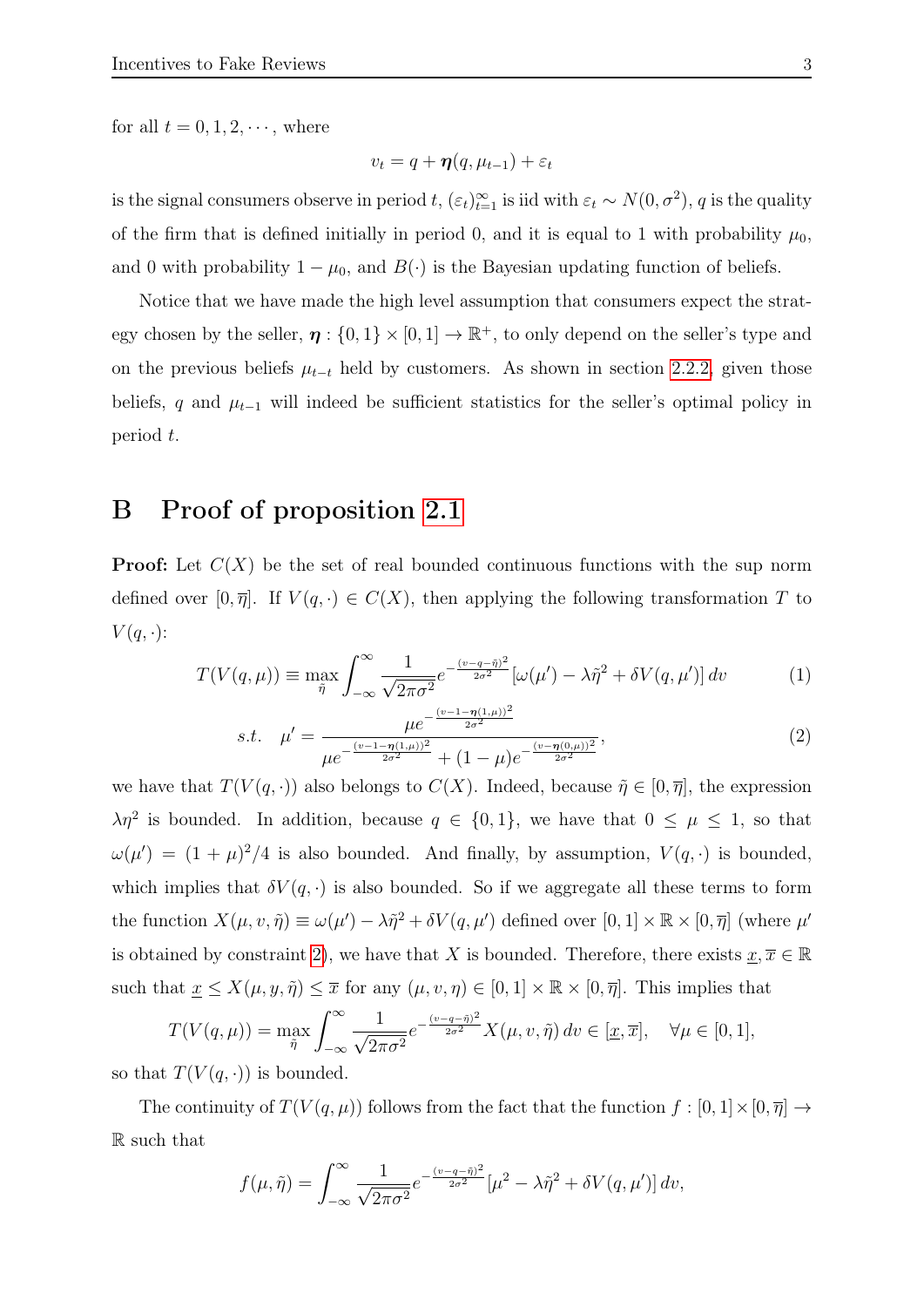for all  $t = 0, 1, 2, \dots$ , where

$$
v_t = q + \boldsymbol{\eta}(q, \mu_{t-1}) + \varepsilon_t
$$

is the signal consumers observe in period t,  $(\varepsilon_t)_{t=1}^{\infty}$  is iid with  $\varepsilon_t \sim N(0, \sigma^2)$ , q is the quality of the firm that is defined initially in period 0, and it is equal to 1 with probability  $\mu_0$ , and 0 with probability  $1 - \mu_0$ , and  $B(\cdot)$  is the Bayesian updating function of beliefs.

Notice that we have made the high level assumption that consumers expect the strategy chosen by the seller,  $\eta: \{0,1\} \times [0,1] \to \mathbb{R}^+$ , to only depend on the seller's type and on the previous beliefs  $\mu_{t-t}$  held by customers. As shown in section [2.2.2,](#page-0-0) given those beliefs, q and  $\mu_{t-1}$  will indeed be sufficient statistics for the seller's optimal policy in period t.

## <span id="page-2-0"></span>B Proof of proposition [2.1](#page-0-0)

**Proof:** Let  $C(X)$  be the set of real bounded continuous functions with the sup norm defined over  $[0, \overline{\eta}]$ . If  $V(q, \cdot) \in C(X)$ , then applying the following transformation T to  $V(q, \cdot)$ :

$$
T(V(q,\mu)) \equiv \max_{\tilde{\eta}} \int_{-\infty}^{\infty} \frac{1}{\sqrt{2\pi\sigma^2}} e^{-\frac{(v-q-\tilde{\eta})^2}{2\sigma^2}} [\omega(\mu') - \lambda \tilde{\eta}^2 + \delta V(q,\mu')] dv \tag{1}
$$

<span id="page-2-1"></span>s.t. 
$$
\mu' = \frac{\mu e^{-\frac{(v-1-\eta(1,\mu))}{2\sigma^2}}}{\mu e^{-\frac{(v-1-\eta(1,\mu))^2}{2\sigma^2}} + (1-\mu)e^{-\frac{(v-\eta(0,\mu))^2}{2\sigma^2}}},
$$
(2)

we have that  $T(V(q, \cdot))$  also belongs to  $C(X)$ . Indeed, because  $\tilde{\eta} \in [0, \overline{\eta}]$ , the expression  $\lambda \eta^2$  is bounded. In addition, because  $q \in \{0,1\}$ , we have that  $0 \leq \mu \leq 1$ , so that  $\omega(\mu') = (1 + \mu)^2/4$  is also bounded. And finally, by assumption,  $V(q, \cdot)$  is bounded, which implies that  $\delta V(q, \cdot)$  is also bounded. So if we aggregate all these terms to form the function  $X(\mu, v, \tilde{\eta}) \equiv \omega(\mu') - \lambda \tilde{\eta}^2 + \delta V(q, \mu')$  defined over  $[0, 1] \times \mathbb{R} \times [0, \overline{\eta}]$  (where  $\mu'$ is obtained by constraint [2\)](#page-2-1), we have that X is bounded. Therefore, there exists  $\underline{x}, \overline{x} \in \mathbb{R}$ such that  $\underline{x} \leq X(\mu, y, \tilde{\eta}) \leq \overline{x}$  for any  $(\mu, v, \eta) \in [0, 1] \times \mathbb{R} \times [0, \overline{\eta}]$ . This implies that

$$
T(V(q,\mu)) = \max_{\tilde{\eta}} \int_{-\infty}^{\infty} \frac{1}{\sqrt{2\pi\sigma^2}} e^{-\frac{(v-q-\tilde{\eta})^2}{2\sigma^2}} X(\mu, v, \tilde{\eta}) dv \in [\underline{x}, \overline{x}], \quad \forall \mu \in [0, 1],
$$

so that  $T(V(q, \cdot))$  is bounded.

The continuity of  $T(V(q,\mu))$  follows from the fact that the function  $f : [0,1] \times [0, \overline{\eta}] \rightarrow$ R such that

$$
f(\mu, \tilde{\eta}) = \int_{-\infty}^{\infty} \frac{1}{\sqrt{2\pi\sigma^2}} e^{-\frac{(v-q-\tilde{\eta})^2}{2\sigma^2}} \left[\mu^2 - \lambda \tilde{\eta}^2 + \delta V(q, \mu')\right] dv,
$$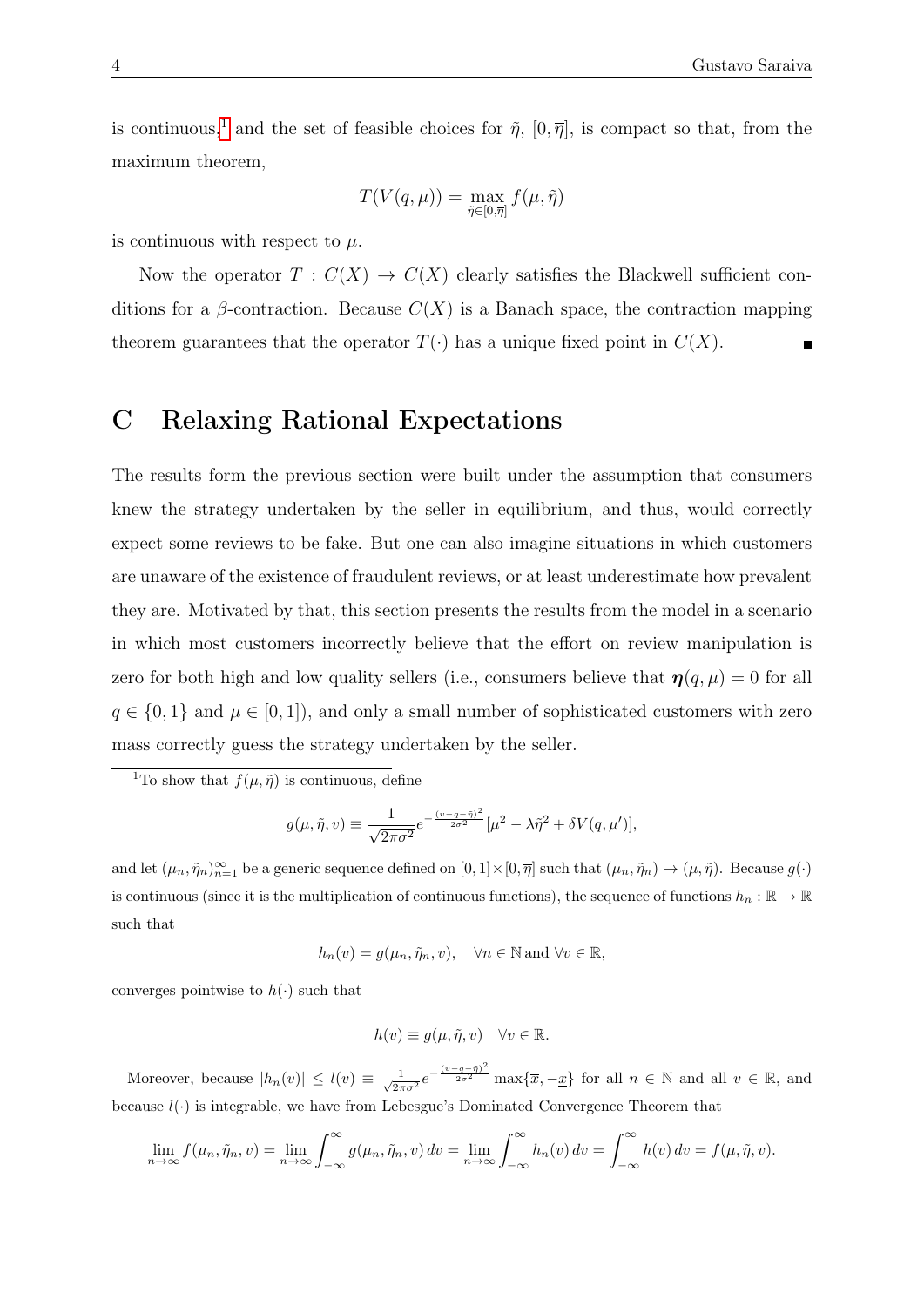is continuous,<sup>[1](#page-3-1)</sup> and the set of feasible choices for  $\tilde{\eta}$ ,  $[0, \overline{\eta}]$ , is compact so that, from the maximum theorem,

$$
T(V(q,\mu)) = \max_{\tilde{\eta} \in [0,\overline{\eta}]} f(\mu, \tilde{\eta})
$$

is continuous with respect to  $\mu$ .

Now the operator  $T: C(X) \to C(X)$  clearly satisfies the Blackwell sufficient conditions for a  $\beta$ -contraction. Because  $C(X)$  is a Banach space, the contraction mapping theorem guarantees that the operator  $T(\cdot)$  has a unique fixed point in  $C(X)$ .

## <span id="page-3-0"></span>C Relaxing Rational Expectations

The results form the previous section were built under the assumption that consumers knew the strategy undertaken by the seller in equilibrium, and thus, would correctly expect some reviews to be fake. But one can also imagine situations in which customers are unaware of the existence of fraudulent reviews, or at least underestimate how prevalent they are. Motivated by that, this section presents the results from the model in a scenario in which most customers incorrectly believe that the effort on review manipulation is zero for both high and low quality sellers (i.e., consumers believe that  $\eta(q,\mu) = 0$  for all  $q \in \{0,1\}$  and  $\mu \in [0,1]$ , and only a small number of sophisticated customers with zero mass correctly guess the strategy undertaken by the seller.

$$
g(\mu, \tilde{\eta}, v) \equiv \frac{1}{\sqrt{2\pi\sigma^2}} e^{-\frac{(v-q-\tilde{\eta})^2}{2\sigma^2}} [\mu^2 - \lambda \tilde{\eta}^2 + \delta V(q, \mu')],
$$

and let  $(\mu_n, \tilde{\eta}_n)_{n=1}^{\infty}$  be a generic sequence defined on  $[0, 1] \times [0, \overline{\eta}]$  such that  $(\mu_n, \tilde{\eta}_n) \to (\mu, \tilde{\eta})$ . Because  $g(\cdot)$ is continuous (since it is the multiplication of continuous functions), the sequence of functions  $h_n : \mathbb{R} \to \mathbb{R}$ such that

$$
h_n(v) = g(\mu_n, \tilde{\eta}_n, v), \quad \forall n \in \mathbb{N} \text{ and } \forall v \in \mathbb{R},
$$

converges pointwise to  $h(\cdot)$  such that

$$
h(v) \equiv g(\mu, \tilde{\eta}, v) \quad \forall v \in \mathbb{R}.
$$

Moreover, because  $|h_n(v)| \leq l(v) \equiv \frac{1}{\sqrt{2\pi}}$  $\frac{1}{2\pi\sigma^2}e^{-\frac{(v-q-\tilde{\eta})^2}{2\sigma^2}}\max\{\overline{x},-\underline{x}\}\$  for all  $n\in\mathbb{N}$  and all  $v\in\mathbb{R}$ , and because  $l(\cdot)$  is integrable, we have from Lebesgue's Dominated Convergence Theorem that

$$
\lim_{n \to \infty} f(\mu_n, \tilde{\eta}_n, v) = \lim_{n \to \infty} \int_{-\infty}^{\infty} g(\mu_n, \tilde{\eta}_n, v) dv = \lim_{n \to \infty} \int_{-\infty}^{\infty} h_n(v) dv = \int_{-\infty}^{\infty} h(v) dv = f(\mu, \tilde{\eta}, v).
$$

<span id="page-3-1"></span><sup>&</sup>lt;sup>1</sup>To show that  $f(\mu, \tilde{\eta})$  is continuous, define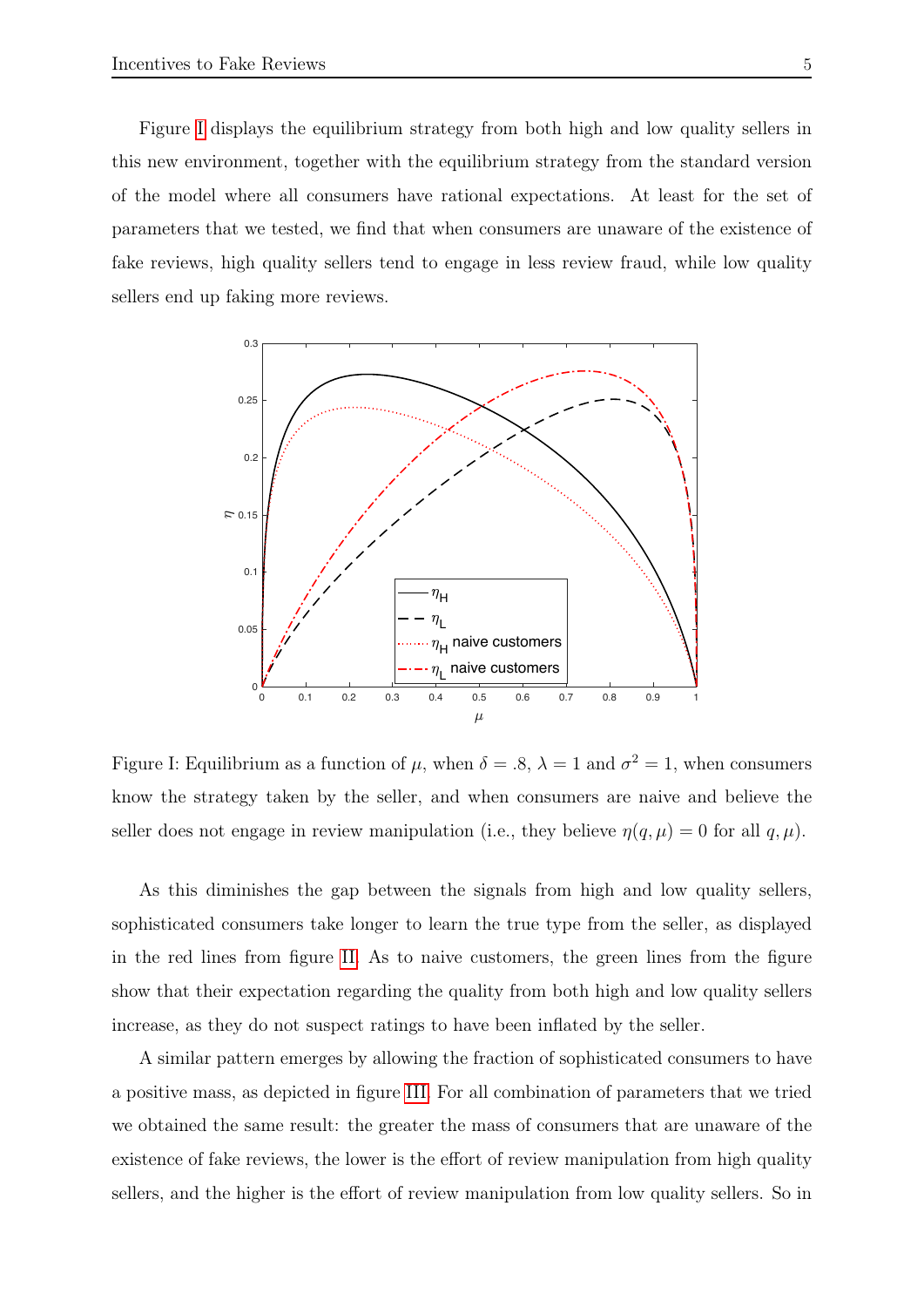Figure [I](#page-4-0) displays the equilibrium strategy from both high and low quality sellers in this new environment, together with the equilibrium strategy from the standard version of the model where all consumers have rational expectations. At least for the set of parameters that we tested, we find that when consumers are unaware of the existence of fake reviews, high quality sellers tend to engage in less review fraud, while low quality sellers end up faking more reviews.

<span id="page-4-0"></span>

Figure I: Equilibrium as a function of  $\mu$ , when  $\delta = .8$ ,  $\lambda = 1$  and  $\sigma^2 = 1$ , when consumers know the strategy taken by the seller, and when consumers are naive and believe the seller does not engage in review manipulation (i.e., they believe  $\eta(q,\mu) = 0$  for all  $q,\mu$ ).

As this diminishes the gap between the signals from high and low quality sellers, sophisticated consumers take longer to learn the true type from the seller, as displayed in the red lines from figure [II.](#page-5-1) As to naive customers, the green lines from the figure show that their expectation regarding the quality from both high and low quality sellers increase, as they do not suspect ratings to have been inflated by the seller.

A similar pattern emerges by allowing the fraction of sophisticated consumers to have a positive mass, as depicted in figure [III.](#page-6-0) For all combination of parameters that we tried we obtained the same result: the greater the mass of consumers that are unaware of the existence of fake reviews, the lower is the effort of review manipulation from high quality sellers, and the higher is the effort of review manipulation from low quality sellers. So in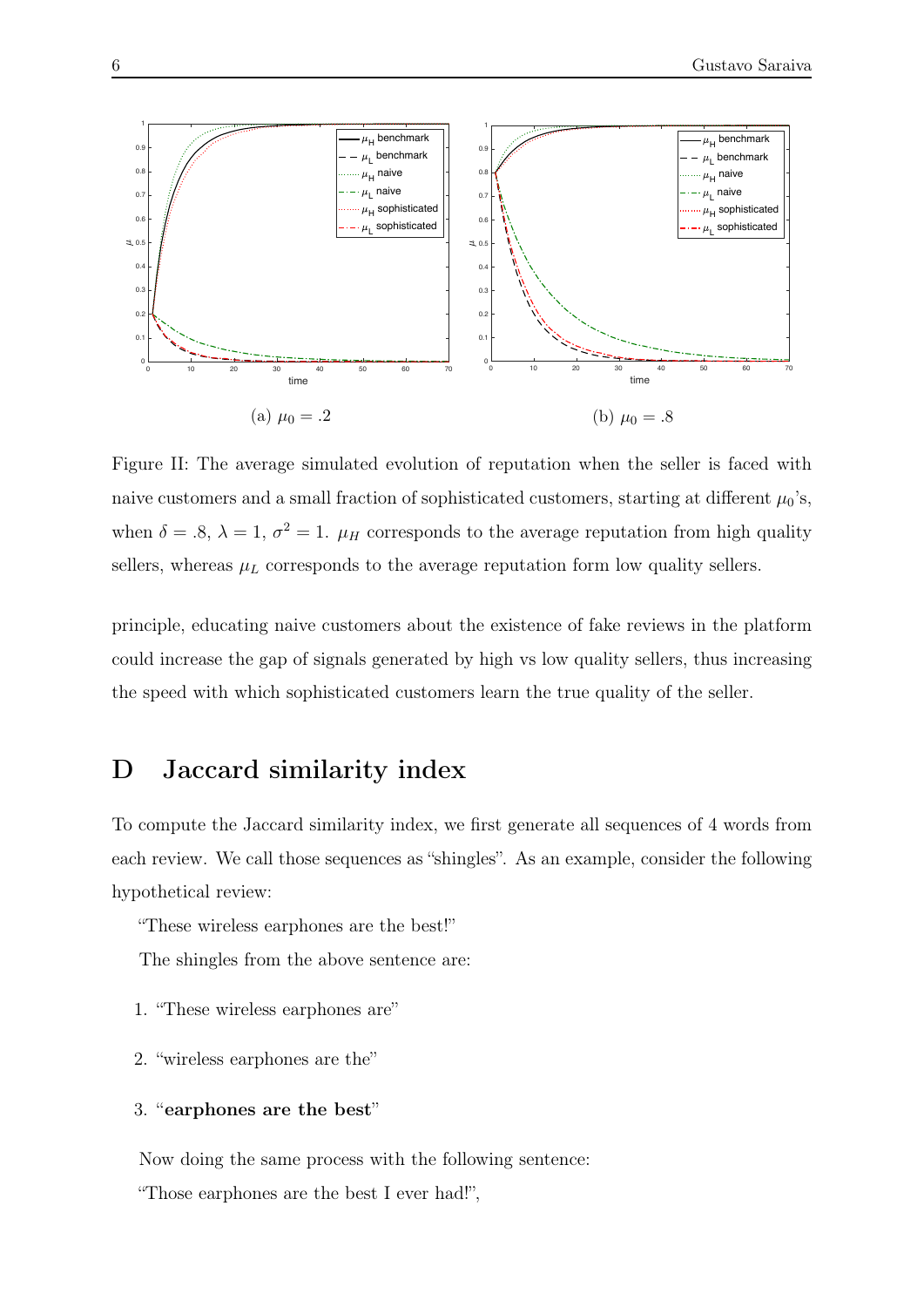<span id="page-5-1"></span>

Figure II: The average simulated evolution of reputation when the seller is faced with naive customers and a small fraction of sophisticated customers, starting at different  $\mu_0$ 's, when  $\delta = .8$ ,  $\lambda = 1$ ,  $\sigma^2 = 1$ .  $\mu_H$  corresponds to the average reputation from high quality sellers, whereas  $\mu_L$  corresponds to the average reputation form low quality sellers.

principle, educating naive customers about the existence of fake reviews in the platform could increase the gap of signals generated by high vs low quality sellers, thus increasing the speed with which sophisticated customers learn the true quality of the seller.

## <span id="page-5-0"></span>D Jaccard similarity index

To compute the Jaccard similarity index, we first generate all sequences of 4 words from each review. We call those sequences as "shingles". As an example, consider the following hypothetical review:

"These wireless earphones are the best!"

The shingles from the above sentence are:

- 1. "These wireless earphones are"
- 2. "wireless earphones are the"

#### 3. "earphones are the best"

Now doing the same process with the following sentence:

"Those earphones are the best I ever had!",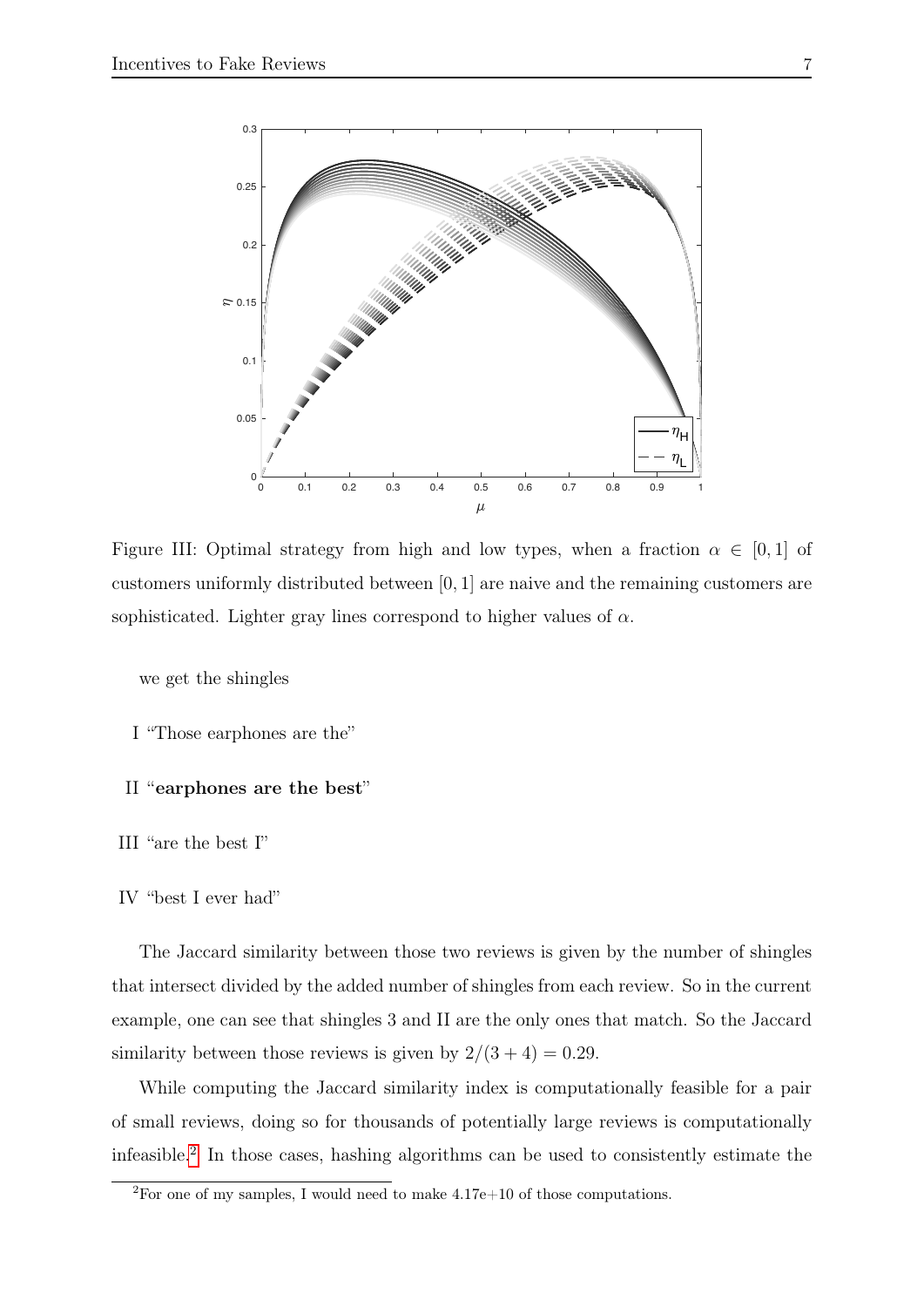<span id="page-6-0"></span>

Figure III: Optimal strategy from high and low types, when a fraction  $\alpha \in [0,1]$  of customers uniformly distributed between [0, 1] are naive and the remaining customers are sophisticated. Lighter gray lines correspond to higher values of  $\alpha$ .

we get the shingles

I "Those earphones are the"

#### II "earphones are the best"

III "are the best I"

#### IV "best I ever had"

The Jaccard similarity between those two reviews is given by the number of shingles that intersect divided by the added number of shingles from each review. So in the current example, one can see that shingles 3 and II are the only ones that match. So the Jaccard similarity between those reviews is given by  $2/(3 + 4) = 0.29$ .

While computing the Jaccard similarity index is computationally feasible for a pair of small reviews, doing so for thousands of potentially large reviews is computationally infeasible.[2](#page-6-1) In those cases, hashing algorithms can be used to consistently estimate the

<span id="page-6-1"></span> $^{2}$ For one of my samples, I would need to make 4.17e+10 of those computations.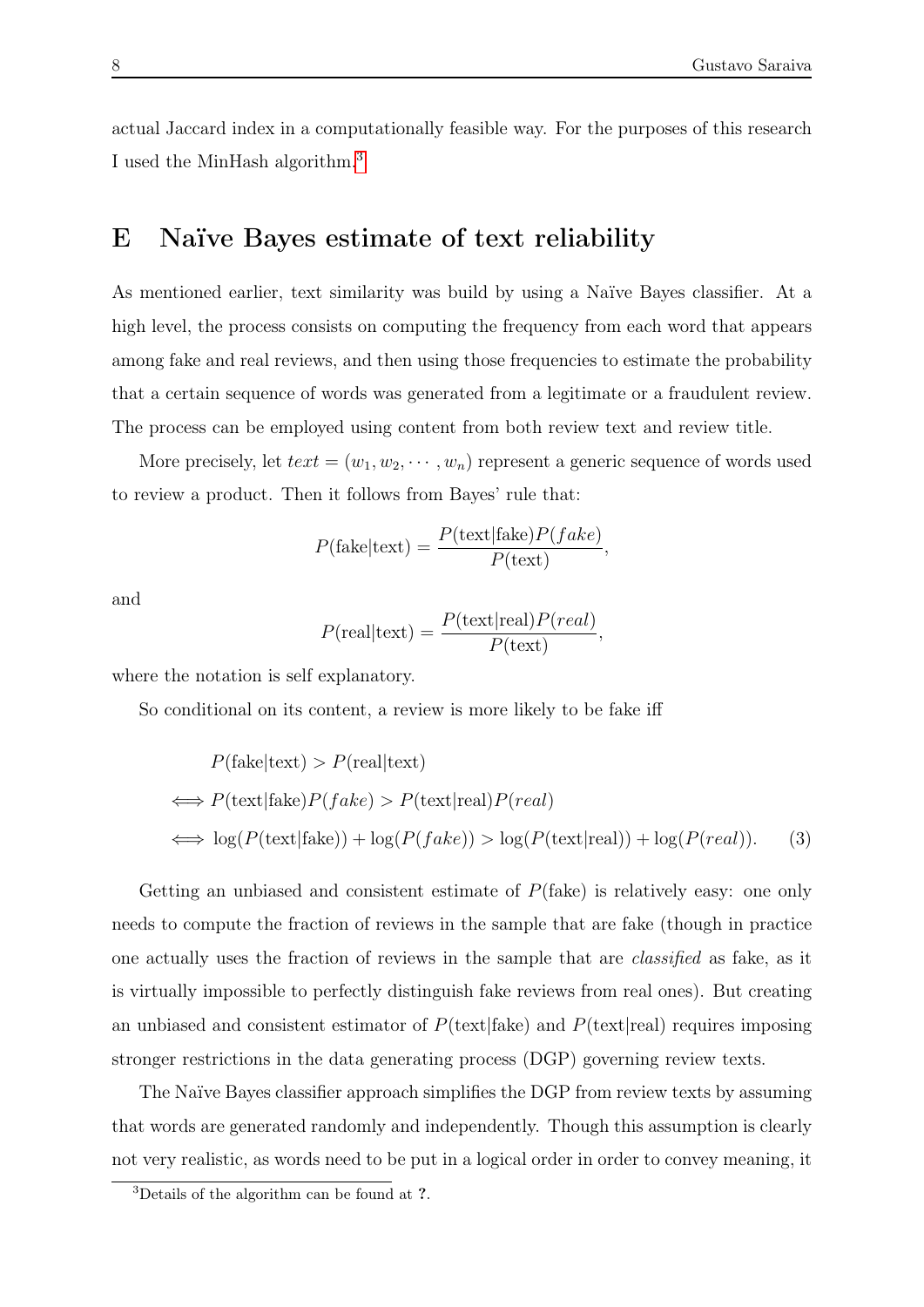actual Jaccard index in a computationally feasible way. For the purposes of this research I used the MinHash algorithm.[3](#page-7-1)

## <span id="page-7-0"></span>E Naïve Bayes estimate of text reliability

As mentioned earlier, text similarity was build by using a Naïve Bayes classifier. At a high level, the process consists on computing the frequency from each word that appears among fake and real reviews, and then using those frequencies to estimate the probability that a certain sequence of words was generated from a legitimate or a fraudulent review. The process can be employed using content from both review text and review title.

More precisely, let  $text = (w_1, w_2, \dots, w_n)$  represent a generic sequence of words used to review a product. Then it follows from Bayes' rule that:

$$
P(\text{fake}|\text{text}) = \frac{P(\text{text}|fake)P(fake)}{P(\text{text})},
$$

and

<span id="page-7-2"></span>
$$
P(\text{real}|\text{text}) = \frac{P(\text{text}| \text{real})P(\text{real})}{P(\text{text})},
$$

where the notation is self explanatory.

So conditional on its content, a review is more likely to be fake iff

$$
P(\text{fake}|\text{text}) > P(\text{real}|\text{text})
$$
  
\n
$$
\iff P(\text{text}|\text{fake})P(fake) > P(\text{text}|real)P(\text{real})
$$
  
\n
$$
\iff \log(P(\text{text}| \text{fake})) + \log(P(fake)) > \log(P(\text{text}| \text{real})) + \log(P(\text{real})).
$$
 (3)

Getting an unbiased and consistent estimate of  $P$ (fake) is relatively easy: one only needs to compute the fraction of reviews in the sample that are fake (though in practice one actually uses the fraction of reviews in the sample that are classified as fake, as it is virtually impossible to perfectly distinguish fake reviews from real ones). But creating an unbiased and consistent estimator of  $P(\text{text}|fake)$  and  $P(\text{text}|real)$  requires imposing stronger restrictions in the data generating process (DGP) governing review texts.

The Naïve Bayes classifier approach simplifies the DGP from review texts by assuming that words are generated randomly and independently. Though this assumption is clearly not very realistic, as words need to be put in a logical order in order to convey meaning, it

<span id="page-7-1"></span><sup>3</sup>Details of the algorithm can be found at ?.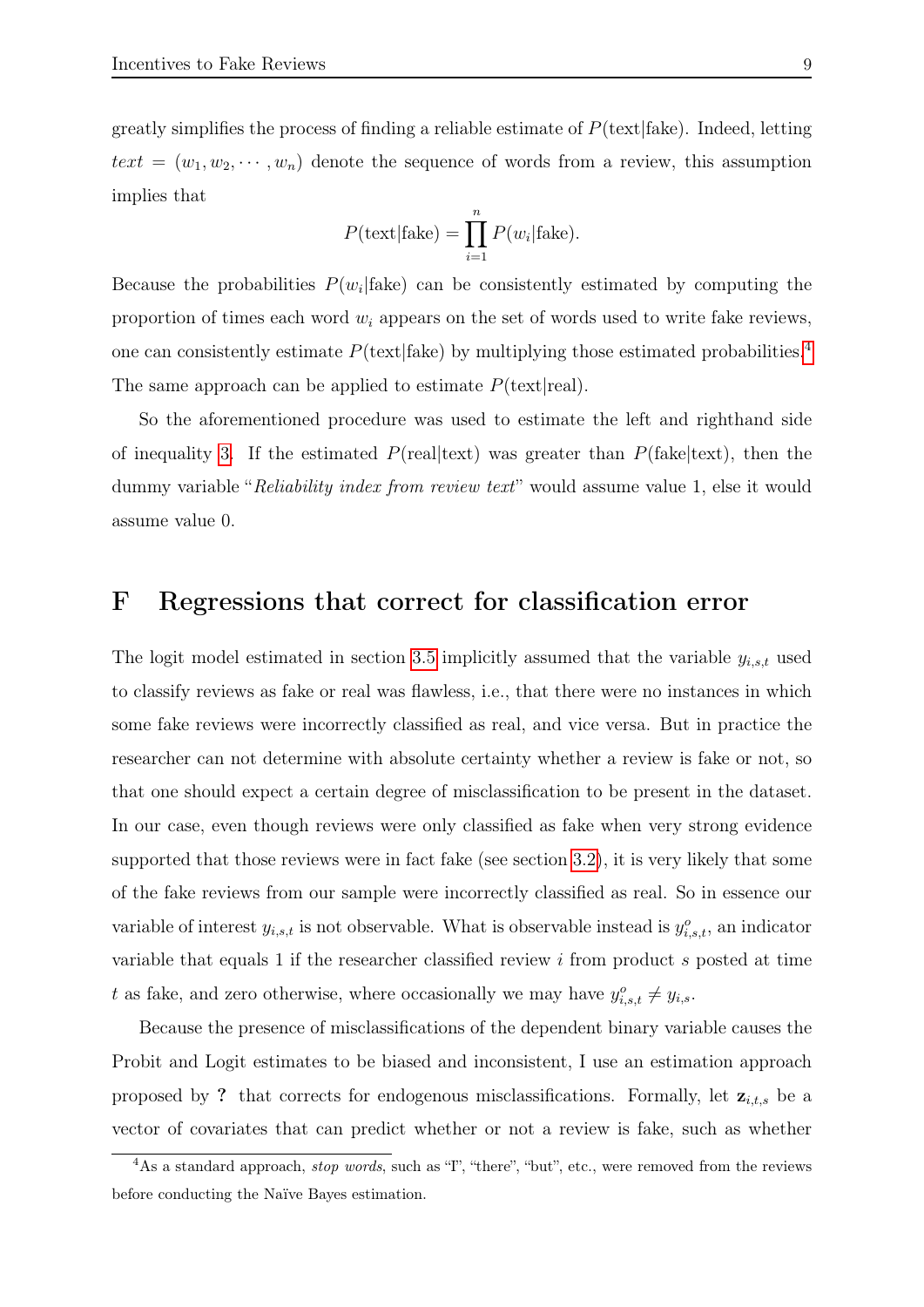greatly simplifies the process of finding a reliable estimate of  $P(\text{text}|fake)$ . Indeed, letting  $text = (w_1, w_2, \dots, w_n)$  denote the sequence of words from a review, this assumption implies that

$$
P(\text{text}|\text{fake}) = \prod_{i=1}^{n} P(w_i|\text{fake}).
$$

Because the probabilities  $P(w_i | \text{fake})$  can be consistently estimated by computing the proportion of times each word  $w_i$  appears on the set of words used to write fake reviews, one can consistently estimate  $P(\text{text}|fake)$  by multiplying those estimated probabilities.<sup>[4](#page-8-1)</sup> The same approach can be applied to estimate  $P(\text{text}|real)$ .

So the aforementioned procedure was used to estimate the left and righthand side of inequality [3.](#page-7-2) If the estimated  $P(\text{real}|\text{text})$  was greater than  $P(\text{fake}|\text{text}),$  then the dummy variable "Reliability index from review text" would assume value 1, else it would assume value 0.

### <span id="page-8-0"></span>F Regressions that correct for classification error

The logit model estimated in section [3.5](#page-0-0) implicitly assumed that the variable  $y_{i,s,t}$  used to classify reviews as fake or real was flawless, i.e., that there were no instances in which some fake reviews were incorrectly classified as real, and vice versa. But in practice the researcher can not determine with absolute certainty whether a review is fake or not, so that one should expect a certain degree of misclassification to be present in the dataset. In our case, even though reviews were only classified as fake when very strong evidence supported that those reviews were in fact fake (see section [3.2\)](#page-0-0), it is very likely that some of the fake reviews from our sample were incorrectly classified as real. So in essence our variable of interest  $y_{i,s,t}$  is not observable. What is observable instead is  $y_{i,s,t}^o$ , an indicator variable that equals 1 if the researcher classified review i from product s posted at time t as fake, and zero otherwise, where occasionally we may have  $y_{i,s,t}^o \neq y_{i,s}$ .

Because the presence of misclassifications of the dependent binary variable causes the Probit and Logit estimates to be biased and inconsistent, I use an estimation approach proposed by ? that corrects for endogenous misclassifications. Formally, let  $z_{i,t,s}$  be a vector of covariates that can predict whether or not a review is fake, such as whether

<span id="page-8-1"></span> $4\text{As a standard approach, stop words, such as 'T', 'there', 'but', etc., were removed from the reviews.}$ before conducting the Naïve Bayes estimation.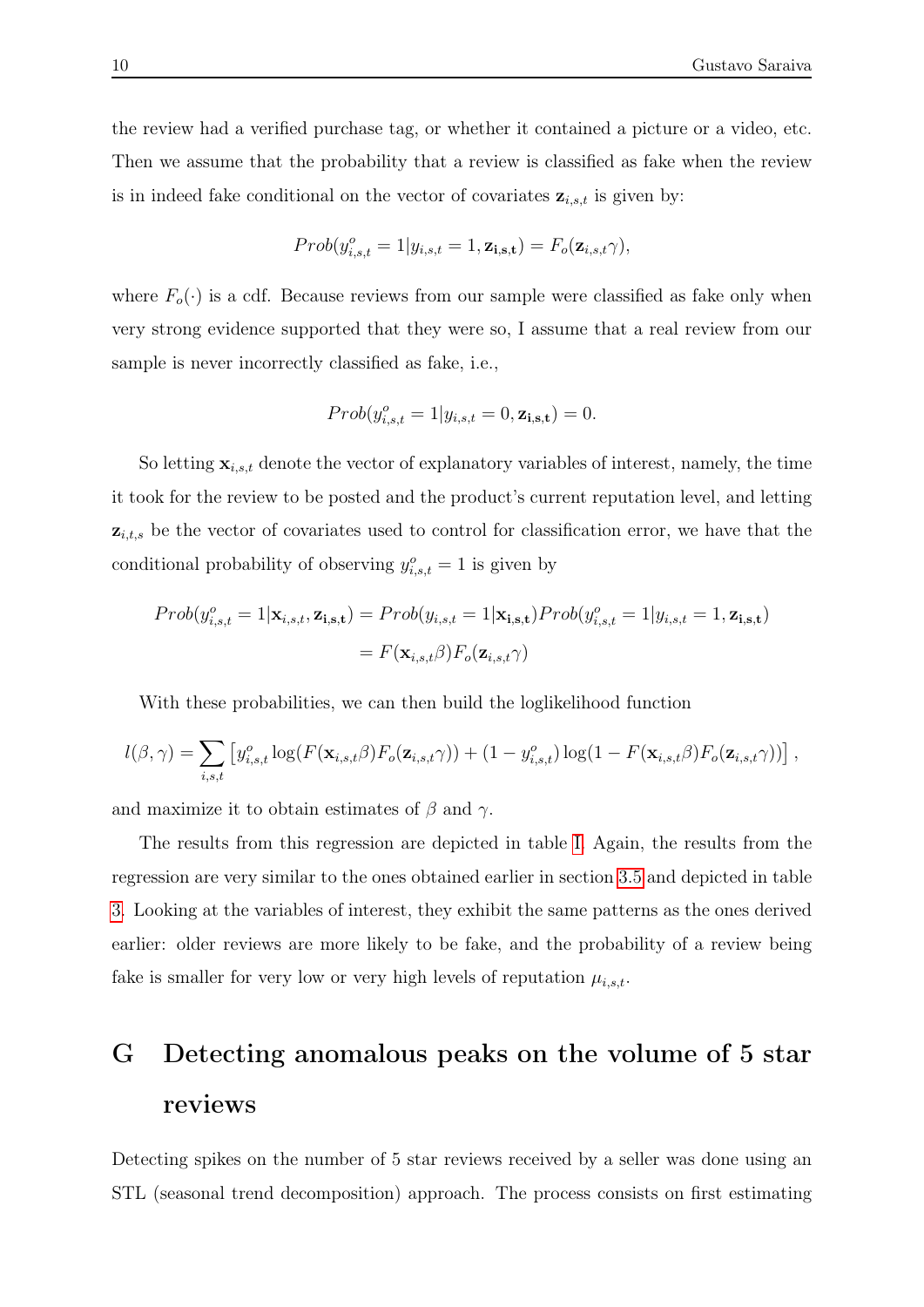the review had a verified purchase tag, or whether it contained a picture or a video, etc. Then we assume that the probability that a review is classified as fake when the review is in indeed fake conditional on the vector of covariates  $z_{i,s,t}$  is given by:

$$
Prob(y_{i,s,t}^o = 1 | y_{i,s,t} = 1, \mathbf{z_{i,s,t}}) = F_o(\mathbf{z}_{i,s,t}\gamma),
$$

where  $F_o(\cdot)$  is a cdf. Because reviews from our sample were classified as fake only when very strong evidence supported that they were so, I assume that a real review from our sample is never incorrectly classified as fake, i.e.,

$$
Prob(y_{i,s,t}^o = 1 | y_{i,s,t} = 0, \mathbf{z_{i,s,t}}) = 0.
$$

So letting  $\mathbf{x}_{i,s,t}$  denote the vector of explanatory variables of interest, namely, the time it took for the review to be posted and the product's current reputation level, and letting  $z_{i,t,s}$  be the vector of covariates used to control for classification error, we have that the conditional probability of observing  $y_{i,s,t}^o = 1$  is given by

$$
Prob(y_{i,s,t}^o = 1 | \mathbf{x}_{i,s,t}, \mathbf{z}_{i,s,t}) = Prob(y_{i,s,t} = 1 | \mathbf{x}_{i,s,t}) Prob(y_{i,s,t}^o = 1 | y_{i,s,t} = 1, \mathbf{z}_{i,s,t})
$$

$$
= F(\mathbf{x}_{i,s,t} \beta) F_o(\mathbf{z}_{i,s,t} \gamma)
$$

With these probabilities, we can then build the loglikelihood function

$$
l(\beta,\gamma) = \sum_{i,s,t} \left[ y_{i,s,t}^o \log(F(\mathbf{x}_{i,s,t}\beta) F_o(\mathbf{z}_{i,s,t}\gamma)) + (1 - y_{i,s,t}^o) \log(1 - F(\mathbf{x}_{i,s,t}\beta) F_o(\mathbf{z}_{i,s,t}\gamma)) \right],
$$

and maximize it to obtain estimates of  $\beta$  and  $\gamma$ .

The results from this regression are depicted in table [I.](#page-10-0) Again, the results from the regression are very similar to the ones obtained earlier in section [3.5](#page-0-0) and depicted in table [3.](#page-0-0) Looking at the variables of interest, they exhibit the same patterns as the ones derived earlier: older reviews are more likely to be fake, and the probability of a review being fake is smaller for very low or very high levels of reputation  $\mu_{i,s,t}$ .

## <span id="page-9-0"></span>G Detecting anomalous peaks on the volume of 5 star reviews

Detecting spikes on the number of 5 star reviews received by a seller was done using an STL (seasonal trend decomposition) approach. The process consists on first estimating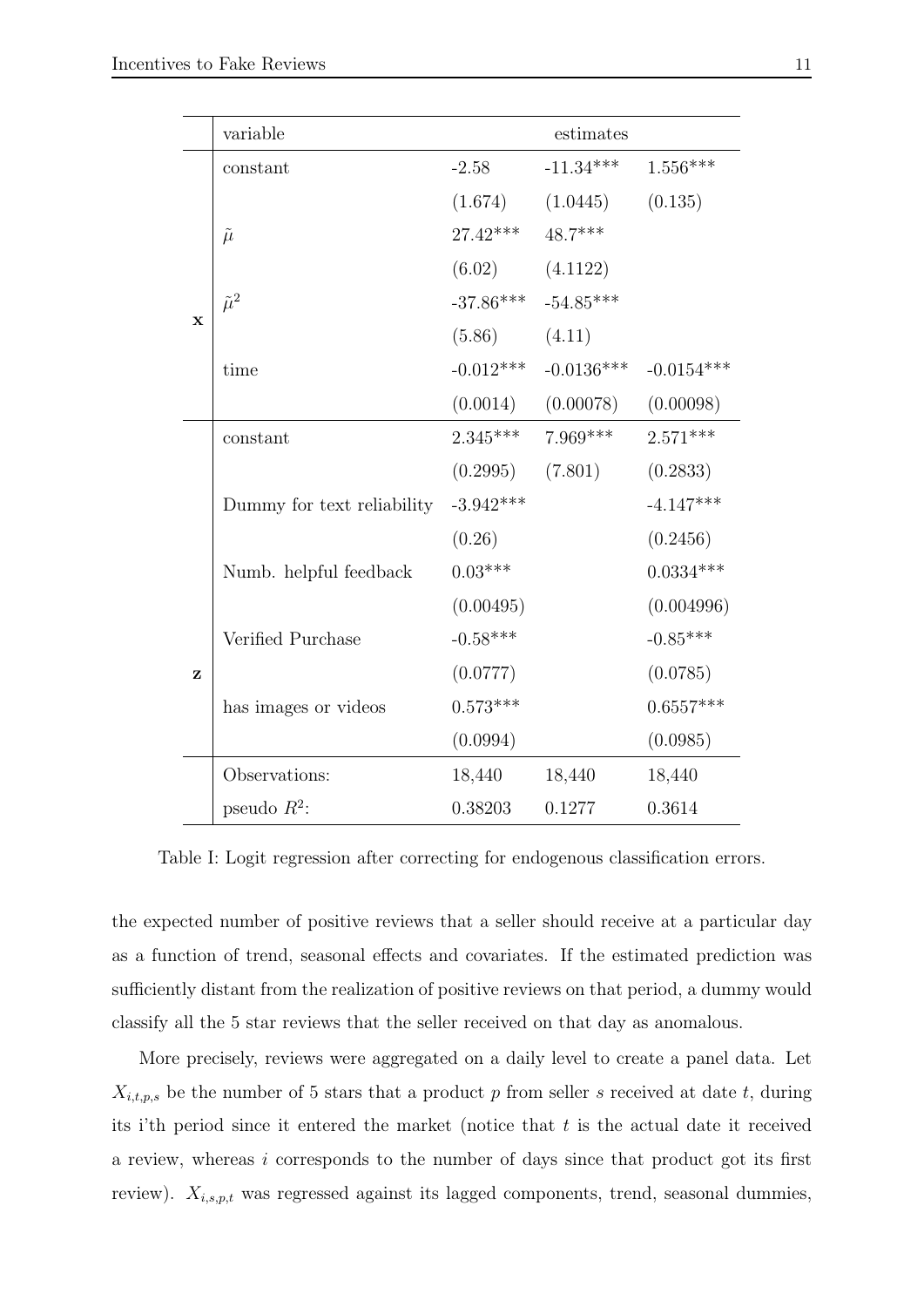<span id="page-10-0"></span>

|             | variable                   |             | estimates    |              |
|-------------|----------------------------|-------------|--------------|--------------|
|             | constant                   | $-2.58$     | $-11.34***$  | $1.556***$   |
|             |                            | (1.674)     | (1.0445)     | (0.135)      |
|             | $\tilde{\mu}$              | $27.42***$  | 48.7***      |              |
|             |                            | (6.02)      | (4.1122)     |              |
|             | $\tilde{\mu}^2$            | $-37.86***$ | $-54.85***$  |              |
| $\mathbf x$ |                            | (5.86)      | (4.11)       |              |
|             | time                       | $-0.012***$ | $-0.0136***$ | $-0.0154***$ |
|             |                            | (0.0014)    | (0.00078)    | (0.00098)    |
|             | constant                   | $2.345***$  | $7.969***$   | $2.571***$   |
|             |                            | (0.2995)    | (7.801)      | (0.2833)     |
|             | Dummy for text reliability | $-3.942***$ |              | $-4.147***$  |
|             |                            | (0.26)      |              | (0.2456)     |
|             | Numb. helpful feedback     | $0.03***$   |              | $0.0334***$  |
|             |                            | (0.00495)   |              | (0.004996)   |
|             | Verified Purchase          | $-0.58***$  |              | $-0.85***$   |
| z           |                            | (0.0777)    |              | (0.0785)     |
|             | has images or videos       | $0.573***$  |              | $0.6557***$  |
|             |                            | (0.0994)    |              | (0.0985)     |
|             | Observations:              | 18,440      | 18,440       | 18,440       |
|             | pseudo $R^2$ :             | 0.38203     | 0.1277       | 0.3614       |

Table I: Logit regression after correcting for endogenous classification errors.

the expected number of positive reviews that a seller should receive at a particular day as a function of trend, seasonal effects and covariates. If the estimated prediction was sufficiently distant from the realization of positive reviews on that period, a dummy would classify all the 5 star reviews that the seller received on that day as anomalous.

More precisely, reviews were aggregated on a daily level to create a panel data. Let  $X_{i,t,p,s}$  be the number of 5 stars that a product p from seller s received at date t, during its i'th period since it entered the market (notice that  $t$  is the actual date it received a review, whereas i corresponds to the number of days since that product got its first review).  $X_{i,s,p,t}$  was regressed against its lagged components, trend, seasonal dummies,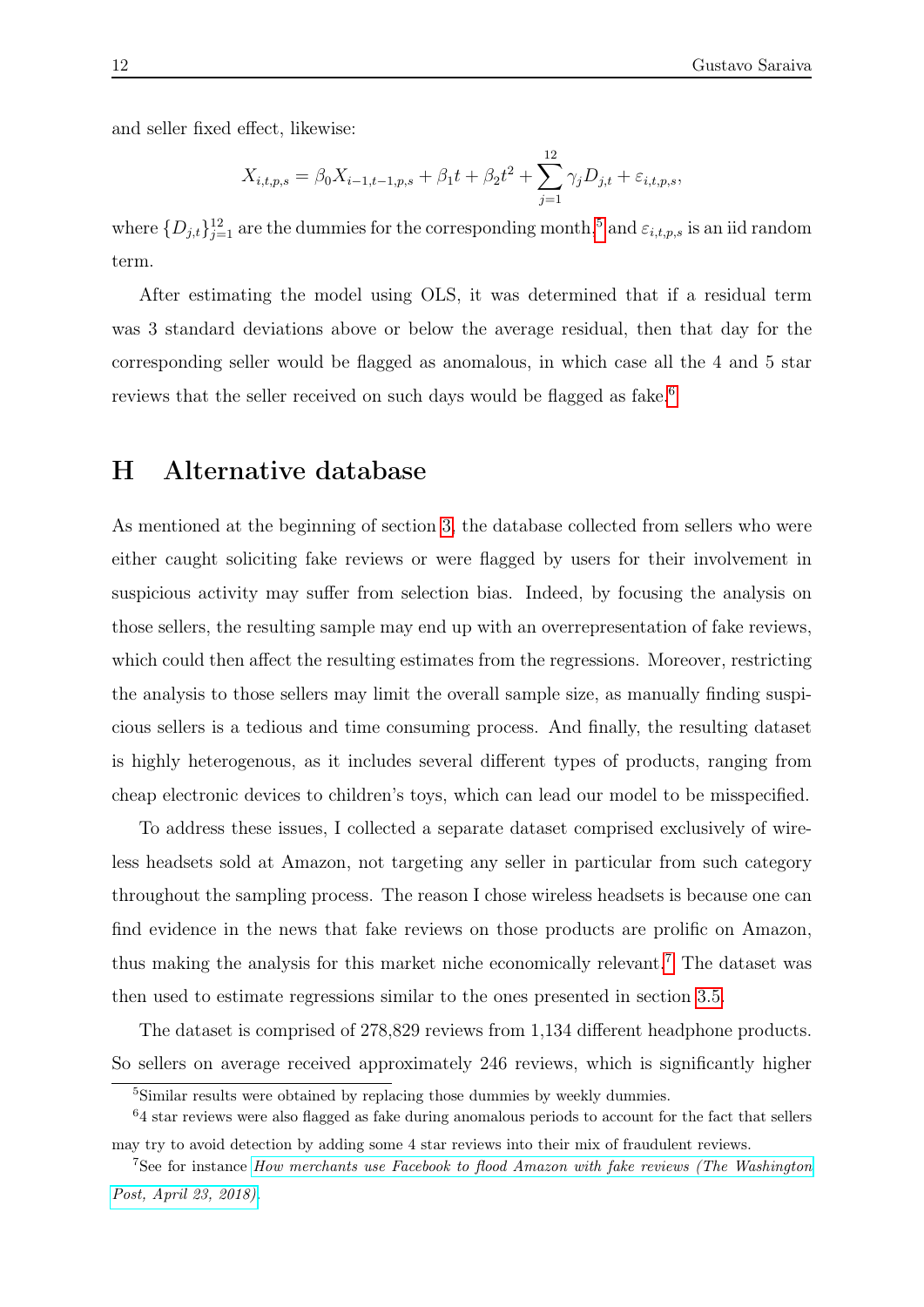and seller fixed effect, likewise:

$$
X_{i,t,p,s} = \beta_0 X_{i-1,t-1,p,s} + \beta_1 t + \beta_2 t^2 + \sum_{j=1}^{12} \gamma_j D_{j,t} + \varepsilon_{i,t,p,s},
$$

where  $\{D_{j,t}\}_{j=1}^{12}$  are the dummies for the corresponding month,<sup>[5](#page-11-1)</sup> and  $\varepsilon_{i,t,p,s}$  is an iid random term.

After estimating the model using OLS, it was determined that if a residual term was 3 standard deviations above or below the average residual, then that day for the corresponding seller would be flagged as anomalous, in which case all the 4 and 5 star reviews that the seller received on such days would be flagged as fake.<sup>[6](#page-11-2)</sup>

## <span id="page-11-0"></span>H Alternative database

As mentioned at the beginning of section [3,](#page-0-0) the database collected from sellers who were either caught soliciting fake reviews or were flagged by users for their involvement in suspicious activity may suffer from selection bias. Indeed, by focusing the analysis on those sellers, the resulting sample may end up with an overrepresentation of fake reviews, which could then affect the resulting estimates from the regressions. Moreover, restricting the analysis to those sellers may limit the overall sample size, as manually finding suspicious sellers is a tedious and time consuming process. And finally, the resulting dataset is highly heterogenous, as it includes several different types of products, ranging from cheap electronic devices to children's toys, which can lead our model to be misspecified.

To address these issues, I collected a separate dataset comprised exclusively of wireless headsets sold at Amazon, not targeting any seller in particular from such category throughout the sampling process. The reason I chose wireless headsets is because one can find evidence in the news that fake reviews on those products are prolific on Amazon, thus making the analysis for this market niche economically relevant.[7](#page-11-3) The dataset was then used to estimate regressions similar to the ones presented in section [3.5.](#page-0-0)

The dataset is comprised of 278,829 reviews from 1,134 different headphone products. So sellers on average received approximately 246 reviews, which is significantly higher

<span id="page-11-2"></span><span id="page-11-1"></span><sup>&</sup>lt;sup>5</sup>Similar results were obtained by replacing those dummies by weekly dummies.

 $64$  star reviews were also flagged as fake during anomalous periods to account for the fact that sellers

<span id="page-11-3"></span>may try to avoid detection by adding some 4 star reviews into their mix of fraudulent reviews.

<sup>&</sup>lt;sup>7</sup>See for instance *[How merchants use Facebook to flood Amazon with fake reviews \(The Washington](https://www.washingtonpost.com/business/economy/how-merchants-secretly-use-facebook-to-flood-amazon-with-fake-reviews/2018/04/23/5dad1e30-4392-11e8-8569-26fda6b404c7_story.html?utm_term=.a4d408b795e6)*) [Post, April 23, 2018\)](https://www.washingtonpost.com/business/economy/how-merchants-secretly-use-facebook-to-flood-amazon-with-fake-reviews/2018/04/23/5dad1e30-4392-11e8-8569-26fda6b404c7_story.html?utm_term=.a4d408b795e6).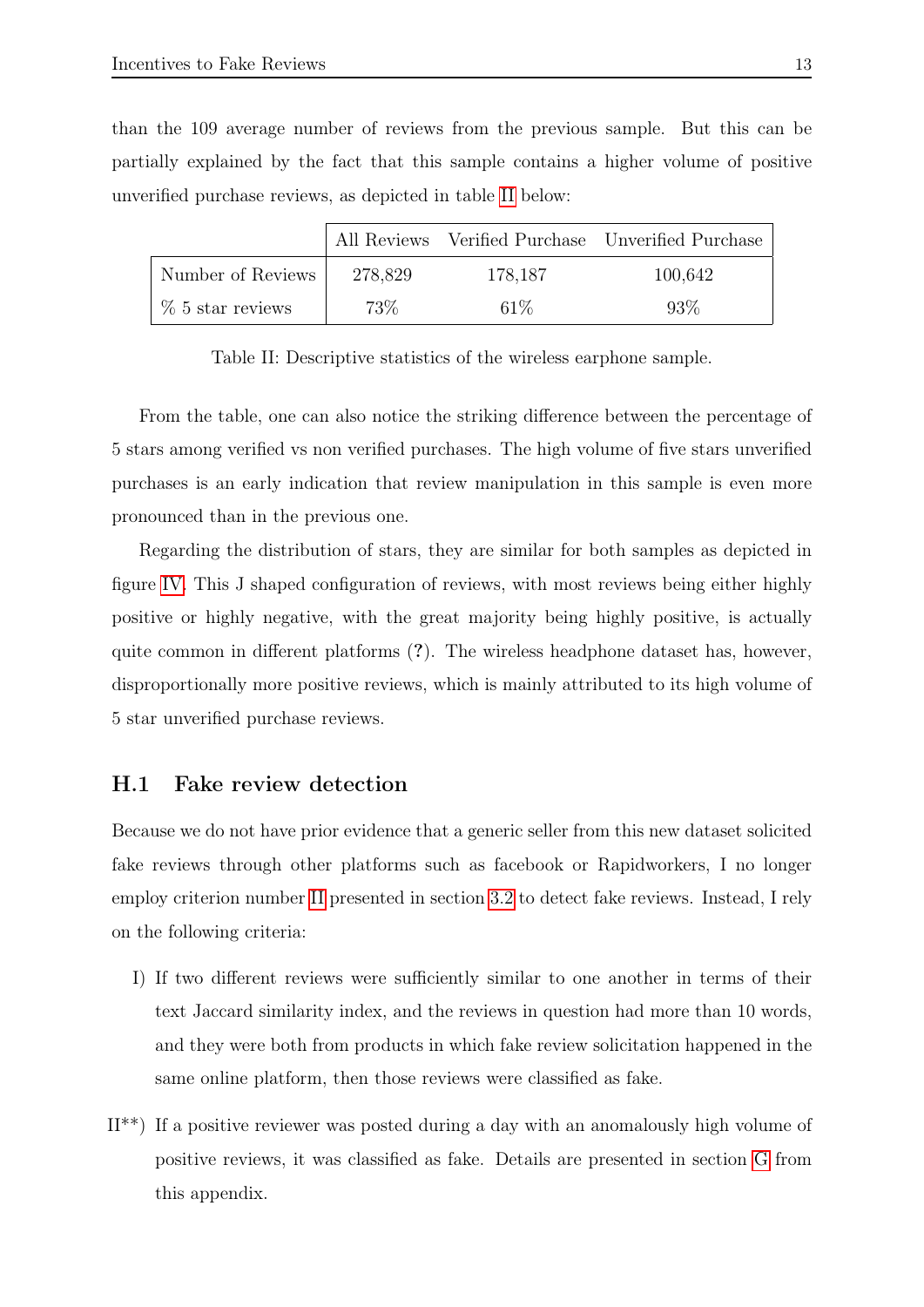than the 109 average number of reviews from the previous sample. But this can be partially explained by the fact that this sample contains a higher volume of positive unverified purchase reviews, as depicted in table [II](#page-12-1) below:

<span id="page-12-1"></span>

|                              |         |         | All Reviews Verified Purchase Unverified Purchase |
|------------------------------|---------|---------|---------------------------------------------------|
| Number of Reviews            | 278,829 | 178,187 | 100,642                                           |
| $\frac{1}{6}$ 5 star reviews | 73\%    | $61\%$  | $93\%$                                            |

Table II: Descriptive statistics of the wireless earphone sample.

From the table, one can also notice the striking difference between the percentage of 5 stars among verified vs non verified purchases. The high volume of five stars unverified purchases is an early indication that review manipulation in this sample is even more pronounced than in the previous one.

Regarding the distribution of stars, they are similar for both samples as depicted in figure [IV.](#page-13-0) This J shaped configuration of reviews, with most reviews being either highly positive or highly negative, with the great majority being highly positive, is actually quite common in different platforms (?). The wireless headphone dataset has, however, disproportionally more positive reviews, which is mainly attributed to its high volume of 5 star unverified purchase reviews.

#### <span id="page-12-0"></span>H.1 Fake review detection

Because we do not have prior evidence that a generic seller from this new dataset solicited fake reviews through other platforms such as facebook or Rapidworkers, I no longer employ criterion number [II](#page-12-2) presented in section [3.2](#page-0-0) to detect fake reviews. Instead, I rely on the following criteria:

- <span id="page-12-2"></span>I) If two different reviews were sufficiently similar to one another in terms of their text Jaccard similarity index, and the reviews in question had more than 10 words, and they were both from products in which fake review solicitation happened in the same online platform, then those reviews were classified as fake.
- II\*\*) If a positive reviewer was posted during a day with an anomalously high volume of positive reviews, it was classified as fake. Details are presented in section [G](#page-9-0) from this appendix.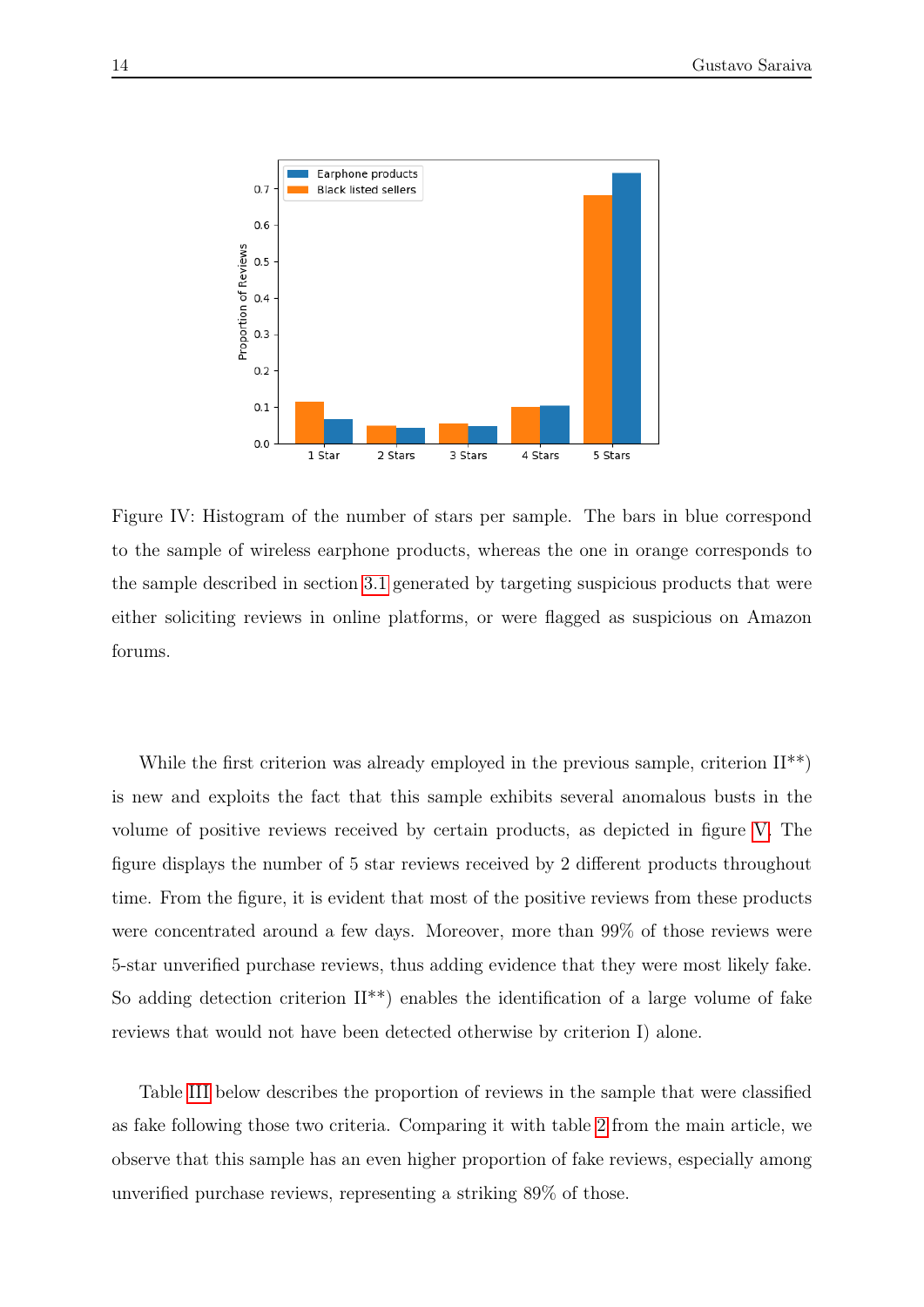<span id="page-13-0"></span>

Figure IV: Histogram of the number of stars per sample. The bars in blue correspond to the sample of wireless earphone products, whereas the one in orange corresponds to the sample described in section [3.1](#page-0-0) generated by targeting suspicious products that were either soliciting reviews in online platforms, or were flagged as suspicious on Amazon forums.

While the first criterion was already employed in the previous sample, criterion  $II^{**}$ ) is new and exploits the fact that this sample exhibits several anomalous busts in the volume of positive reviews received by certain products, as depicted in figure [V.](#page-14-1) The figure displays the number of 5 star reviews received by 2 different products throughout time. From the figure, it is evident that most of the positive reviews from these products were concentrated around a few days. Moreover, more than 99% of those reviews were 5-star unverified purchase reviews, thus adding evidence that they were most likely fake. So adding detection criterion  $II^{**}$ ) enables the identification of a large volume of fake reviews that would not have been detected otherwise by criterion I) alone.

Table [III](#page-14-2) below describes the proportion of reviews in the sample that were classified as fake following those two criteria. Comparing it with table [2](#page-0-0) from the main article, we observe that this sample has an even higher proportion of fake reviews, especially among unverified purchase reviews, representing a striking 89% of those.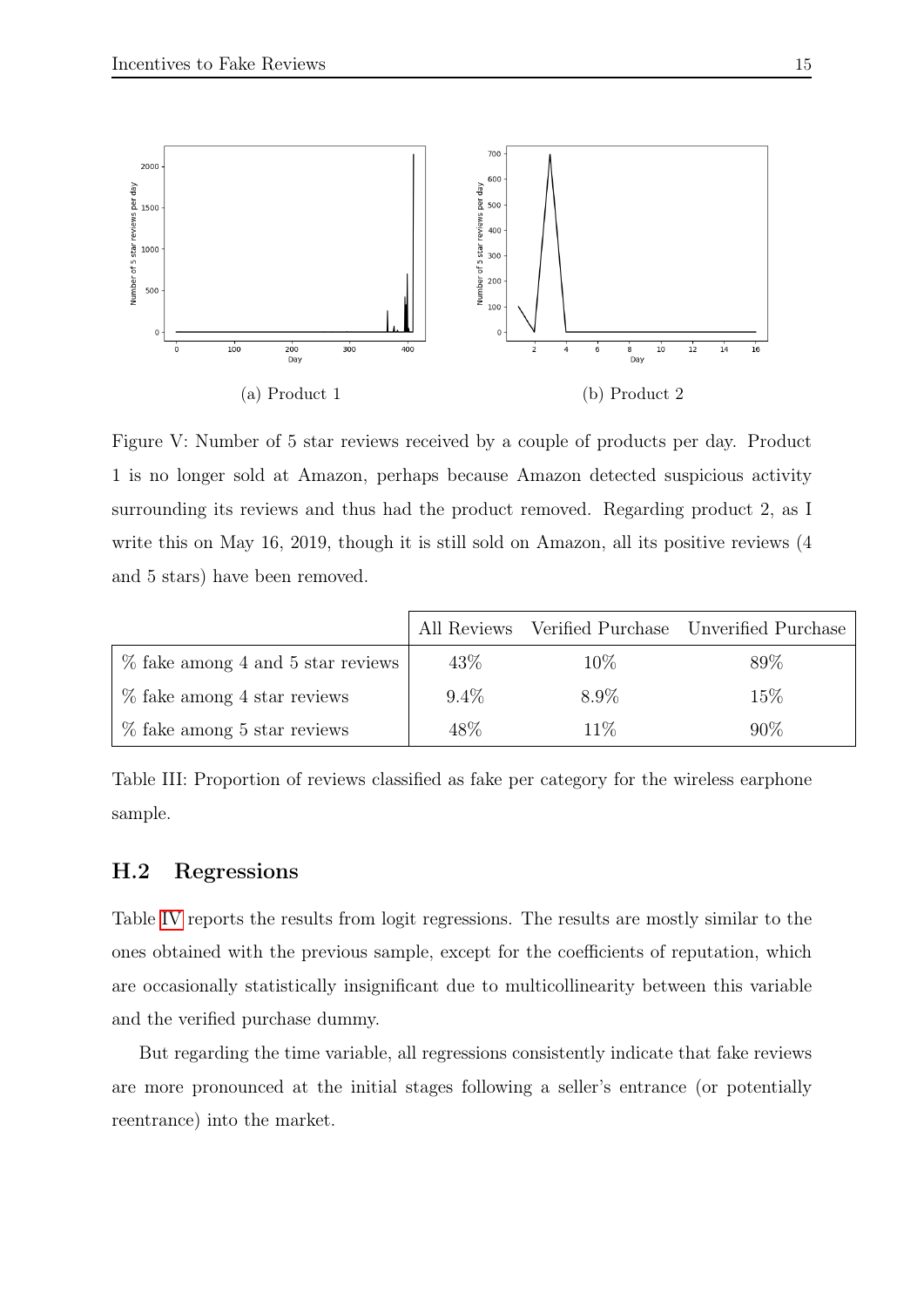<span id="page-14-1"></span>

Figure V: Number of 5 star reviews received by a couple of products per day. Product 1 is no longer sold at Amazon, perhaps because Amazon detected suspicious activity surrounding its reviews and thus had the product removed. Regarding product 2, as I write this on May 16, 2019, though it is still sold on Amazon, all its positive reviews (4 and 5 stars) have been removed.

<span id="page-14-2"></span>

|                                      |         |        | All Reviews Verified Purchase Unverified Purchase |
|--------------------------------------|---------|--------|---------------------------------------------------|
| $\%$ fake among 4 and 5 star reviews | 43\%    | $10\%$ | 89%                                               |
| $\%$ fake among 4 star reviews       | $9.4\%$ | 8.9%   | 15\%                                              |
| $%$ fake among 5 star reviews        | 48\%    | $11\%$ | 90%                                               |

Table III: Proportion of reviews classified as fake per category for the wireless earphone sample.

#### <span id="page-14-0"></span>H.2 Regressions

Table [IV](#page-15-0) reports the results from logit regressions. The results are mostly similar to the ones obtained with the previous sample, except for the coefficients of reputation, which are occasionally statistically insignificant due to multicollinearity between this variable and the verified purchase dummy.

But regarding the time variable, all regressions consistently indicate that fake reviews are more pronounced at the initial stages following a seller's entrance (or potentially reentrance) into the market.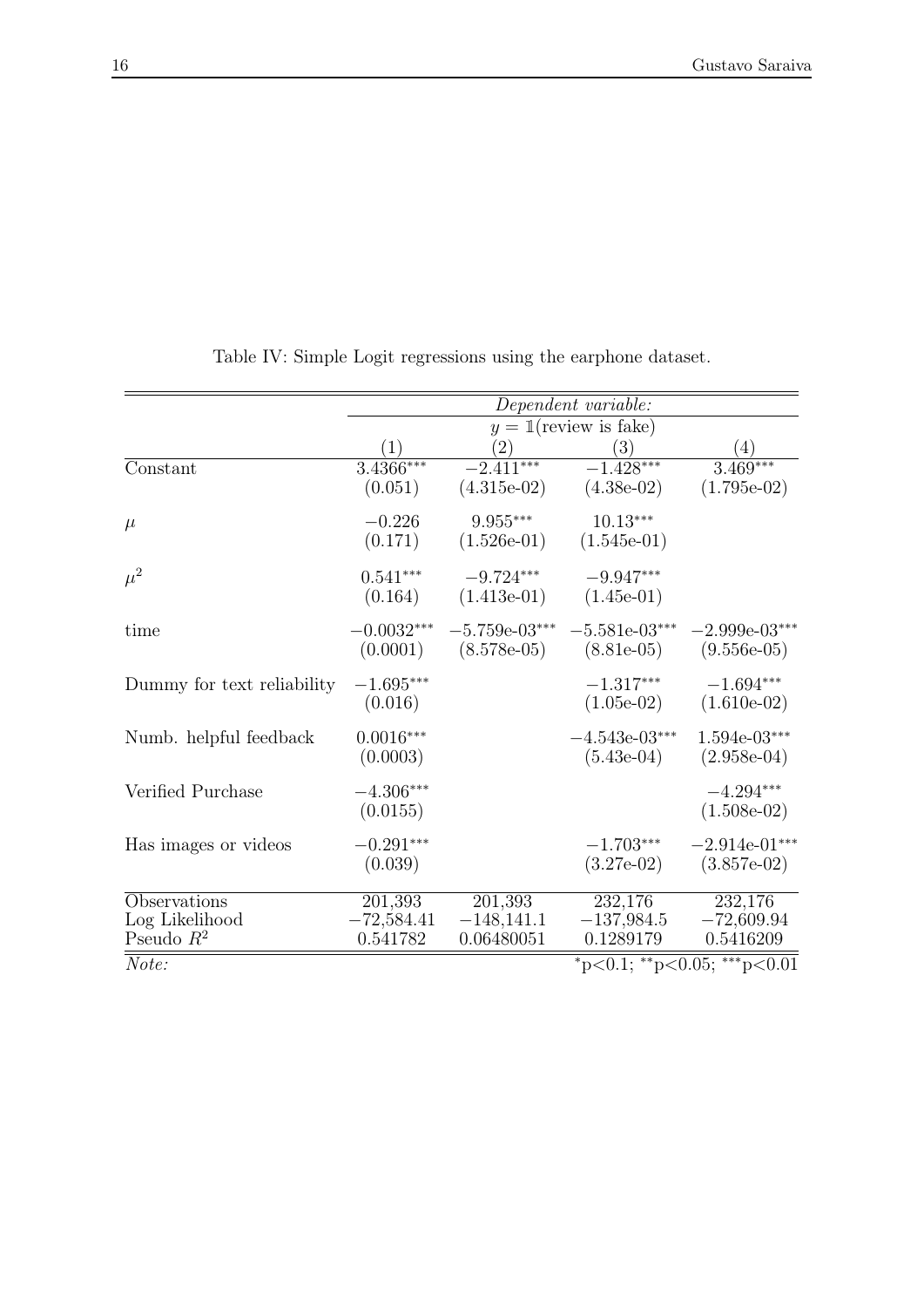<span id="page-15-0"></span>

|                                      | Dependent variable:      |                                         |                                 |                                  |  |
|--------------------------------------|--------------------------|-----------------------------------------|---------------------------------|----------------------------------|--|
|                                      | $y = 1$ (review is fake) |                                         |                                 |                                  |  |
|                                      |                          | $\left( 2\right)$                       | $\left(3\right)$                | $\left(4\right)$                 |  |
| Constant                             | $3.4366***$<br>(0.051)   | $-2.411***$<br>$(4.315e-02)$            | $-1.428***$<br>$(4.38e-02)$     | $3.469***$<br>$(1.795e-02)$      |  |
| $\mu$                                | $-0.226$<br>(0.171)      | $9.955^{\ast\ast\ast}$<br>$(1.526e-01)$ | $10.13***$<br>$(1.545e-01)$     |                                  |  |
| $\mu^2$                              | $0.541***$<br>(0.164)    | $-9.724***$<br>$(1.413e-01)$            | $-9.947***$<br>$(1.45e-01)$     |                                  |  |
| time                                 | $-0.0032***$<br>(0.0001) | $-5.759e-03***$<br>$(8.578e-05)$        | $-5.581e-03***$<br>$(8.81e-05)$ | $-2.999e-03***$<br>$(9.556e-05)$ |  |
| Dummy for text reliability           | $-1.695***$<br>(0.016)   |                                         | $-1.317***$<br>$(1.05e-02)$     | $-1.694***$<br>$(1.610e-02)$     |  |
| Numb. helpful feedback               | $0.0016***$<br>(0.0003)  |                                         | $-4.543e-03***$<br>$(5.43e-04)$ | $1.594e-03***$<br>$(2.958e-04)$  |  |
| Verified Purchase                    | $-4.306***$<br>(0.0155)  |                                         |                                 | $-4.294***$<br>$(1.508e-02)$     |  |
| Has images or videos                 | $-0.291***$<br>(0.039)   |                                         | $-1.703***$<br>$(3.27e-02)$     | $-2.914e-01***$<br>$(3.857e-02)$ |  |
| Observations                         | 201,393                  | 201,393                                 | 232,176                         | 232,176                          |  |
| Log Likelihood                       | $-72,584.41$             | $-148,141.1$                            | $-137,984.5$                    | $-72,609.94$                     |  |
| Pseudo $R^2$                         | 0.541782                 | 0.06480051                              | 0.1289179                       | 0.5416209                        |  |
| *p<0.1; **p<0.05; ***p<0.01<br>Note: |                          |                                         |                                 |                                  |  |

Table IV: Simple Logit regressions using the earphone dataset.